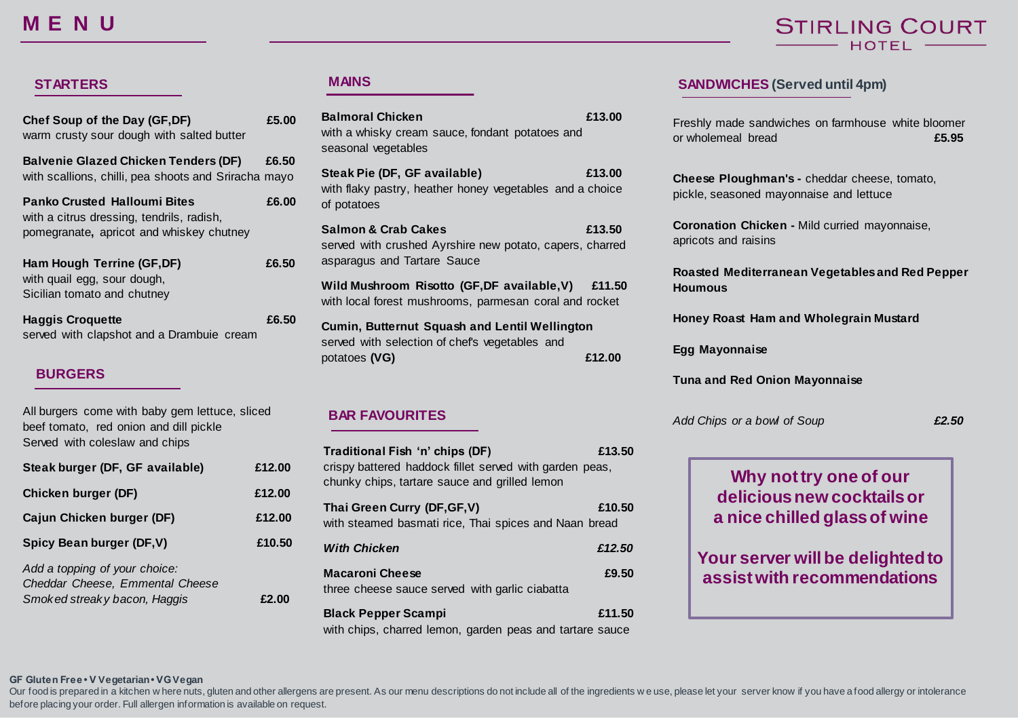# **M E N U**

# **STIRLING COURT** HOTEL

| Chef Soup of the Day (GF, DF)<br>warm crusty sour dough with salted butter                                                   | £5.00 |
|------------------------------------------------------------------------------------------------------------------------------|-------|
| <b>Balvenie Glazed Chicken Tenders (DF)</b><br>with scallions, chilli, pea shoots and Sriracha mayo                          | £6.50 |
| <b>Panko Crusted Halloumi Bites</b><br>with a citrus dressing, tendrils, radish,<br>pomegranate, apricot and whiskey chutney | £6.00 |

| Ham Hough Terrine (GF,DF)   | £6.50 |
|-----------------------------|-------|
| with quail egg, sour dough, |       |
| Sicilian tomato and chutney |       |
|                             |       |

| <b>Haggis Croquette</b>                   | £6.50 |
|-------------------------------------------|-------|
| served with clapshot and a Drambuie cream |       |

### **BURGERS**

| All burgers come with baby gem lettuce, sliced |
|------------------------------------------------|
| beef tomato, red onion and dill pickle         |
| Served with coleslaw and chips                 |

| Steak burger (DF, GF available)                                                                  | £12.00 |
|--------------------------------------------------------------------------------------------------|--------|
| <b>Chicken burger (DF)</b>                                                                       | £12.00 |
| Cajun Chicken burger (DF)                                                                        | £12.00 |
| Spicy Bean burger (DF, V)                                                                        | £10.50 |
| Add a topping of your choice:<br>Cheddar Cheese, Emmental Cheese<br>Smoked streaky bacon, Haggis | £2 VU  |

| <b>Balmoral Chicken</b><br>with a whisky cream sauce, fondant potatoes and<br>seasonal vegetables                         | £13.00 |
|---------------------------------------------------------------------------------------------------------------------------|--------|
| Steak Pie (DF, GF available)<br>with flaky pastry, heather honey vegetables and a choice<br>of potatoes                   | £13.00 |
| <b>Salmon &amp; Crab Cakes</b><br>served with crushed Ayrshire new potato, capers, charred<br>asparagus and Tartare Sauce | £13.50 |
| Wild Mushroom Risotto (GF, DF available, V) £11.50<br>with local forest mushrooms, parmesan coral and rocket              |        |
| Cumin, Butternut Squash and Lentil Wellington<br>served with selection of chef's vegetables and<br>potatoes (VG)          | £12.00 |

#### **BAR FAVOURITES**

| Traditional Fish 'n' chips (DF)<br>crispy battered haddock fillet served with garden peas,<br>chunky chips, tartare sauce and grilled lemon | £13.50 |
|---------------------------------------------------------------------------------------------------------------------------------------------|--------|
| Thai Green Curry (DF, GF, V)<br>with steamed basmati rice, Thai spices and Naan bread                                                       | £10.50 |
| <b>With Chicken</b>                                                                                                                         | £12.50 |
| <b>Macaroni Cheese</b><br>three cheese sauce served with garlic ciabatta                                                                    | £9.50  |
| <b>Black Pepper Scampi</b><br>with chips, charred lemon, garden peas and tartare sauce                                                      | £11.50 |

## **STARTERS MAINS SANDWICHES (Served until 4pm)**

Freshly made sandwiches on farmhouse white bloomer or wholemeal bread **£5.95**

**Cheese Ploughman's -** cheddar cheese, tomato, pickle, seasoned mayonnaise and lettuce

**Coronation Chicken -** Mild curried mayonnaise, apricots and raisins

**Roasted Mediterranean Vegetables and Red Pepper Houmous**

**Honey Roast Ham and Wholegrain Mustard**

**Egg Mayonnaise** 

**Tuna and Red Onion Mayonnaise** 

*Add Chips or a bowl of Soup £2.50*



#### **GF Gluten Free • V Vegetarian • VG Vegan**

Our food is prepared in a kitchen w here nuts, gluten and other allergens are present. As our menu descriptions do not include all of the ingredients we use, please let your server know if you have a food allergy or intole before placing your order. Full allergen information is available on request.